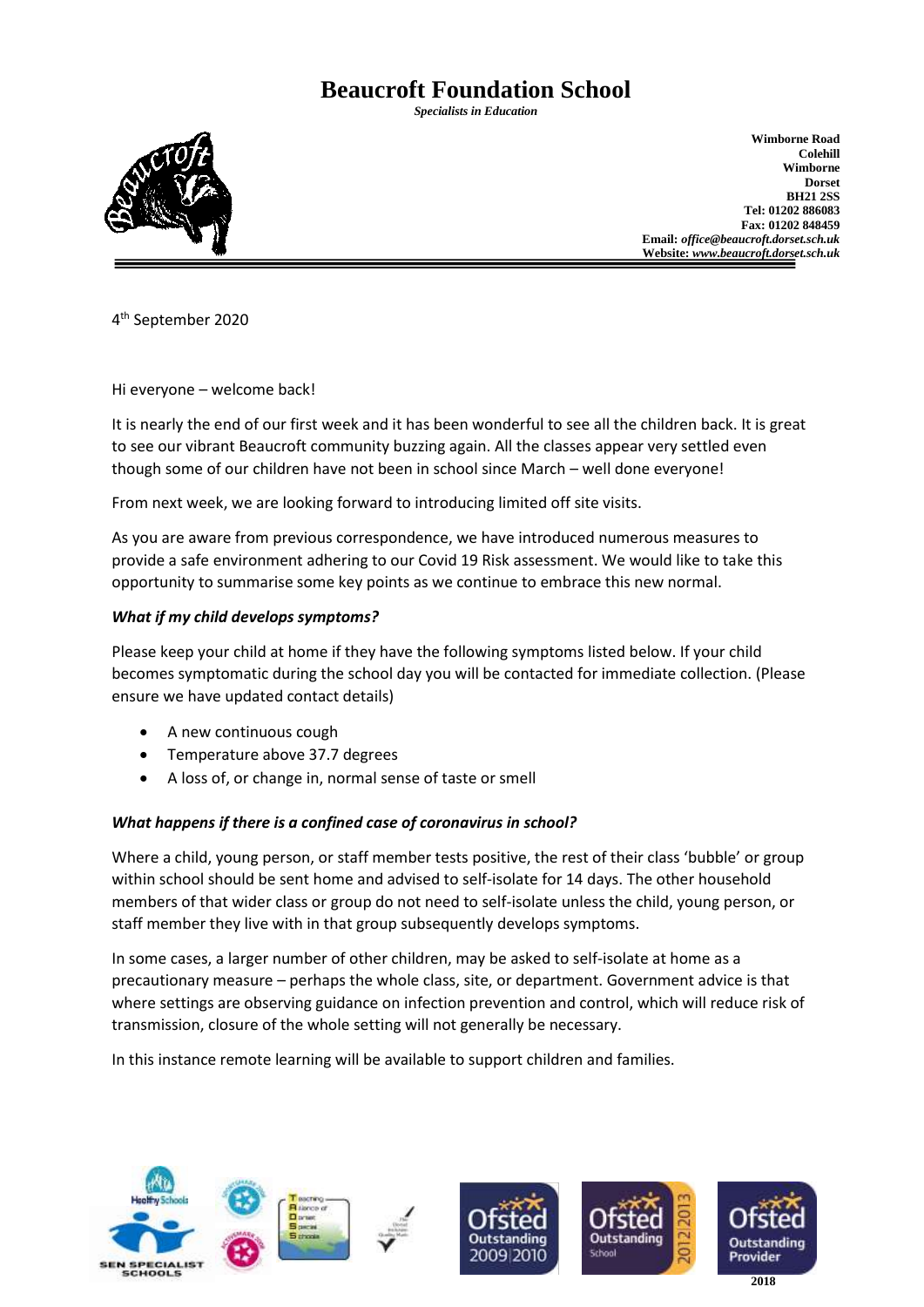# **Beaucroft Foundation School**

*Specialists in Education*



**Wimborne Road Colehill Wimborne Dorset BH21 2SS Tel: 01202 886083 Fax: 01202 848459 Email:** *office@beaucroft.dorset.sch.uk* **Website:** *www.beaucroft.dorset.sch.uk*

4 th September 2020

Hi everyone – welcome back!

It is nearly the end of our first week and it has been wonderful to see all the children back. It is great to see our vibrant Beaucroft community buzzing again. All the classes appear very settled even though some of our children have not been in school since March – well done everyone!

From next week, we are looking forward to introducing limited off site visits.

As you are aware from previous correspondence, we have introduced numerous measures to provide a safe environment adhering to our Covid 19 Risk assessment. We would like to take this opportunity to summarise some key points as we continue to embrace this new normal.

## *What if my child develops symptoms?*

Please keep your child at home if they have the following symptoms listed below. If your child becomes symptomatic during the school day you will be contacted for immediate collection. (Please ensure we have updated contact details)

- A new continuous cough
- Temperature above 37.7 degrees
- A loss of, or change in, normal sense of taste or smell

## *What happens if there is a confined case of coronavirus in school?*

Where a child, young person, or staff member tests positive, the rest of their class 'bubble' or group within school should be sent home and advised to self-isolate for 14 days. The other household members of that wider class or group do not need to self-isolate unless the child, young person, or staff member they live with in that group subsequently develops symptoms.

In some cases, a larger number of other children, may be asked to self-isolate at home as a precautionary measure – perhaps the whole class, site, or department. Government advice is that where settings are observing guidance on infection prevention and control, which will reduce risk of transmission, closure of the whole setting will not generally be necessary.

In this instance remote learning will be available to support children and families.